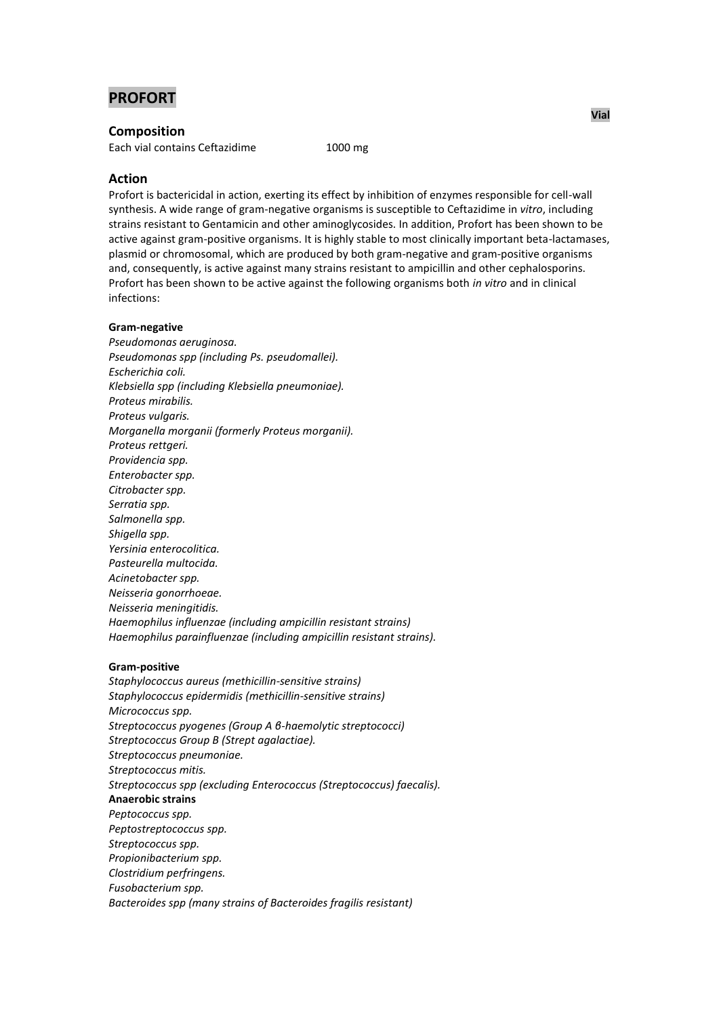**PROFORT** 

### **Composition**

Each vial contains Ceftazidime 1000 mg

# **Action**

Profort is bactericidal in action, exerting its effect by inhibition of enzymes responsible for cell-wall synthesis. A wide range of gram-negative organisms is susceptible to Ceftazidime in *vitro*, including strains resistant to Gentamicin and other aminoglycosides. In addition, Profort has been shown to be active against gram-positive organisms. It is highly stable to most clinically important beta-lactamases, plasmid or chromosomal, which are produced by both gram-negative and gram-positive organisms and, consequently, is active against many strains resistant to ampicillin and other cephalosporins. Profort has been shown to be active against the following organisms both *in vitro* and in clinical infections:

### **Gram-negative**

*Pseudomonas aeruginosa. Pseudomonas spp (including Ps. pseudomallei). Escherichia coli. Klebsiella spp (including Klebsiella pneumoniae). Proteus mirabilis. Proteus vulgaris. Morganella morganii (formerly Proteus morganii). Proteus rettgeri. Providencia spp. Enterobacter spp. Citrobacter spp. Serratia spp. Salmonella spp. Shigella spp. Yersinia enterocolitica. Pasteurella multocida. Acinetobacter spp. Neisseria gonorrhoeae. Neisseria meningitidis. Haemophilus influenzae (including ampicillin resistant strains) Haemophilus parainfluenzae (including ampicillin resistant strains).*

### **Gram-positive**

*Staphylococcus aureus (methicillin-sensitive strains) Staphylococcus epidermidis (methicillin-sensitive strains) Micrococcus spp. Streptococcus pyogenes (Group A β-haemolytic streptococci) Streptococcus Group B (Strept agalactiae). Streptococcus pneumoniae. Streptococcus mitis. Streptococcus spp (excluding Enterococcus (Streptococcus) faecalis).* **Anaerobic strains** *Peptococcus spp. Peptostreptococcus spp. Streptococcus spp. Propionibacterium spp. Clostridium perfringens. Fusobacterium spp. Bacteroides spp (many strains of Bacteroides fragilis resistant)*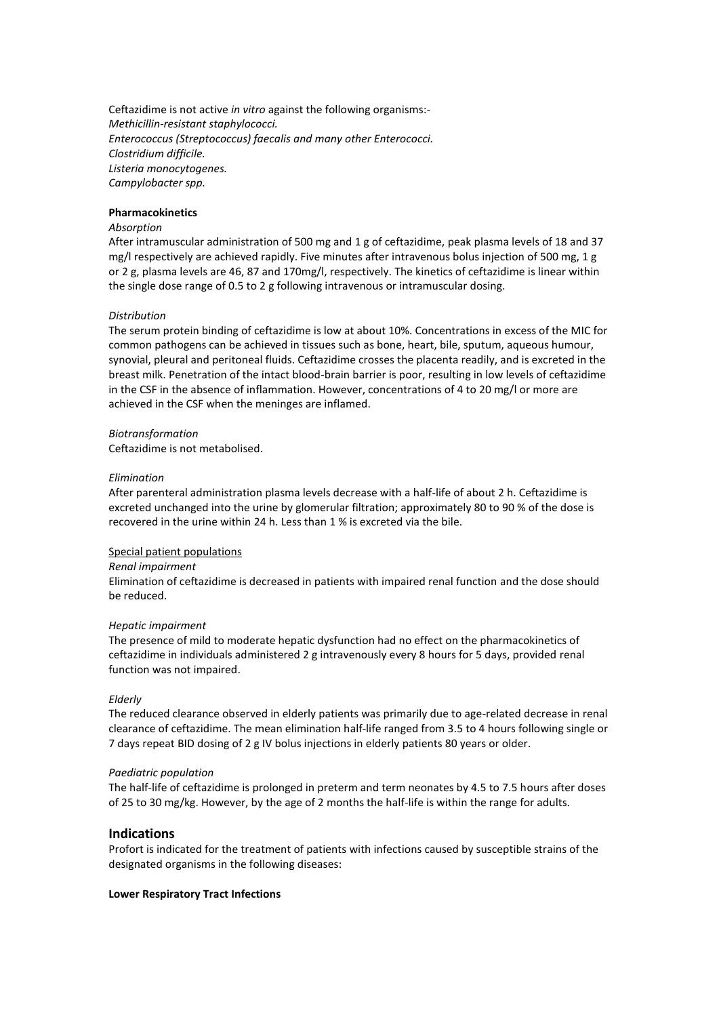Ceftazidime is not active *in vitro* against the following organisms:- *Methicillin-resistant staphylococci. Enterococcus (Streptococcus) faecalis and many other Enterococci. Clostridium difficile. Listeria monocytogenes. Campylobacter spp.*

### **Pharmacokinetics**

#### *Absorption*

After intramuscular administration of 500 mg and 1 g of ceftazidime, peak plasma levels of 18 and 37 mg/l respectively are achieved rapidly. Five minutes after intravenous bolus injection of 500 mg, 1 g or 2 g, plasma levels are 46, 87 and 170mg/l, respectively. The kinetics of ceftazidime is linear within the single dose range of 0.5 to 2 g following intravenous or intramuscular dosing.

#### *Distribution*

The serum protein binding of ceftazidime is low at about 10%. Concentrations in excess of the MIC for common pathogens can be achieved in tissues such as bone, heart, bile, sputum, aqueous humour, synovial, pleural and peritoneal fluids. Ceftazidime crosses the placenta readily, and is excreted in the breast milk. Penetration of the intact blood-brain barrier is poor, resulting in low levels of ceftazidime in the CSF in the absence of inflammation. However, concentrations of 4 to 20 mg/l or more are achieved in the CSF when the meninges are inflamed.

#### *Biotransformation*

Ceftazidime is not metabolised.

#### *Elimination*

After parenteral administration plasma levels decrease with a half-life of about 2 h. Ceftazidime is excreted unchanged into the urine by glomerular filtration; approximately 80 to 90 % of the dose is recovered in the urine within 24 h. Less than 1 % is excreted via the bile.

#### Special patient populations

*Renal impairment*

Elimination of ceftazidime is decreased in patients with impaired renal function and the dose should be reduced.

#### *Hepatic impairment*

The presence of mild to moderate hepatic dysfunction had no effect on the pharmacokinetics of ceftazidime in individuals administered 2 g intravenously every 8 hours for 5 days, provided renal function was not impaired.

### *Elderly*

The reduced clearance observed in elderly patients was primarily due to age-related decrease in renal clearance of ceftazidime. The mean elimination half-life ranged from 3.5 to 4 hours following single or 7 days repeat BID dosing of 2 g IV bolus injections in elderly patients 80 years or older.

#### *Paediatric population*

The half-life of ceftazidime is prolonged in preterm and term neonates by 4.5 to 7.5 hours after doses of 25 to 30 mg/kg. However, by the age of 2 months the half-life is within the range for adults.

#### **Indications**

Profort is indicated for the treatment of patients with infections caused by susceptible strains of the designated organisms in the following diseases:

### **Lower Respiratory Tract Infections**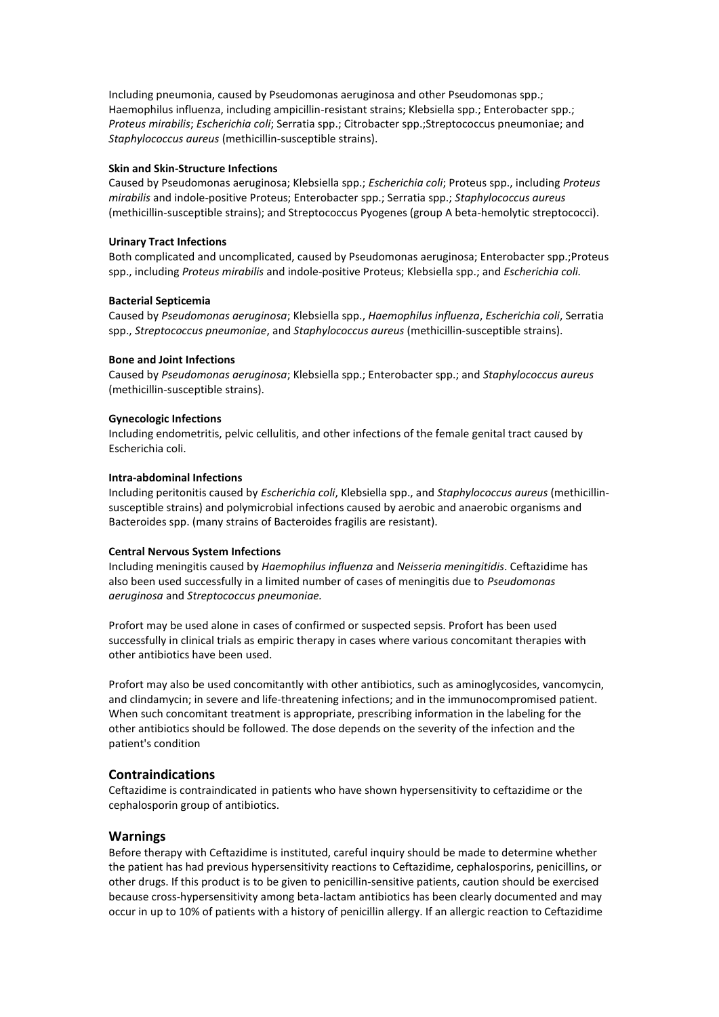Including pneumonia, caused by Pseudomonas aeruginosa and other Pseudomonas spp.; Haemophilus influenza, including ampicillin-resistant strains; Klebsiella spp.; Enterobacter spp.; *Proteus mirabilis*; *Escherichia coli*; Serratia spp.; Citrobacter spp.;Streptococcus pneumoniae; and *Staphylococcus aureus* (methicillin-susceptible strains).

### **Skin and Skin-Structure Infections**

Caused by Pseudomonas aeruginosa; Klebsiella spp.; *Escherichia coli*; Proteus spp., including *Proteus mirabilis* and indole-positive Proteus; Enterobacter spp.; Serratia spp.; *Staphylococcus aureus*  (methicillin-susceptible strains); and Streptococcus Pyogenes (group A beta-hemolytic streptococci).

#### **Urinary Tract Infections**

Both complicated and uncomplicated, caused by Pseudomonas aeruginosa; Enterobacter spp.;Proteus spp., including *Proteus mirabilis* and indole-positive Proteus; Klebsiella spp.; and *Escherichia coli.*

#### **Bacterial Septicemia**

Caused by *Pseudomonas aeruginosa*; Klebsiella spp., *Haemophilus influenza*, *Escherichia coli*, Serratia spp., *Streptococcus pneumoniae*, and *Staphylococcus aureus* (methicillin-susceptible strains).

#### **Bone and Joint Infections**

Caused by *Pseudomonas aeruginosa*; Klebsiella spp.; Enterobacter spp.; and *Staphylococcus aureus* (methicillin-susceptible strains).

#### **Gynecologic Infections**

Including endometritis, pelvic cellulitis, and other infections of the female genital tract caused by Escherichia coli.

#### **Intra-abdominal Infections**

Including peritonitis caused by *Escherichia coli*, Klebsiella spp., and *Staphylococcus aureus* (methicillinsusceptible strains) and polymicrobial infections caused by aerobic and anaerobic organisms and Bacteroides spp. (many strains of Bacteroides fragilis are resistant).

#### **Central Nervous System Infections**

Including meningitis caused by *Haemophilus influenza* and *Neisseria meningitidis*. Ceftazidime has also been used successfully in a limited number of cases of meningitis due to *Pseudomonas aeruginosa* and *Streptococcus pneumoniae.*

Profort may be used alone in cases of confirmed or suspected sepsis. Profort has been used successfully in clinical trials as empiric therapy in cases where various concomitant therapies with other antibiotics have been used.

Profort may also be used concomitantly with other antibiotics, such as aminoglycosides, vancomycin, and clindamycin; in severe and life-threatening infections; and in the immunocompromised patient. When such concomitant treatment is appropriate, prescribing information in the labeling for the other antibiotics should be followed. The dose depends on the severity of the infection and the patient's condition

# **Contraindications**

Ceftazidime is contraindicated in patients who have shown hypersensitivity to ceftazidime or the cephalosporin group of antibiotics.

### **Warnings**

Before therapy with Ceftazidime is instituted, careful inquiry should be made to determine whether the patient has had previous hypersensitivity reactions to Ceftazidime, cephalosporins, penicillins, or other drugs. If this product is to be given to penicillin-sensitive patients, caution should be exercised because cross-hypersensitivity among beta-lactam antibiotics has been clearly documented and may occur in up to 10% of patients with a history of penicillin allergy. If an allergic reaction to Ceftazidime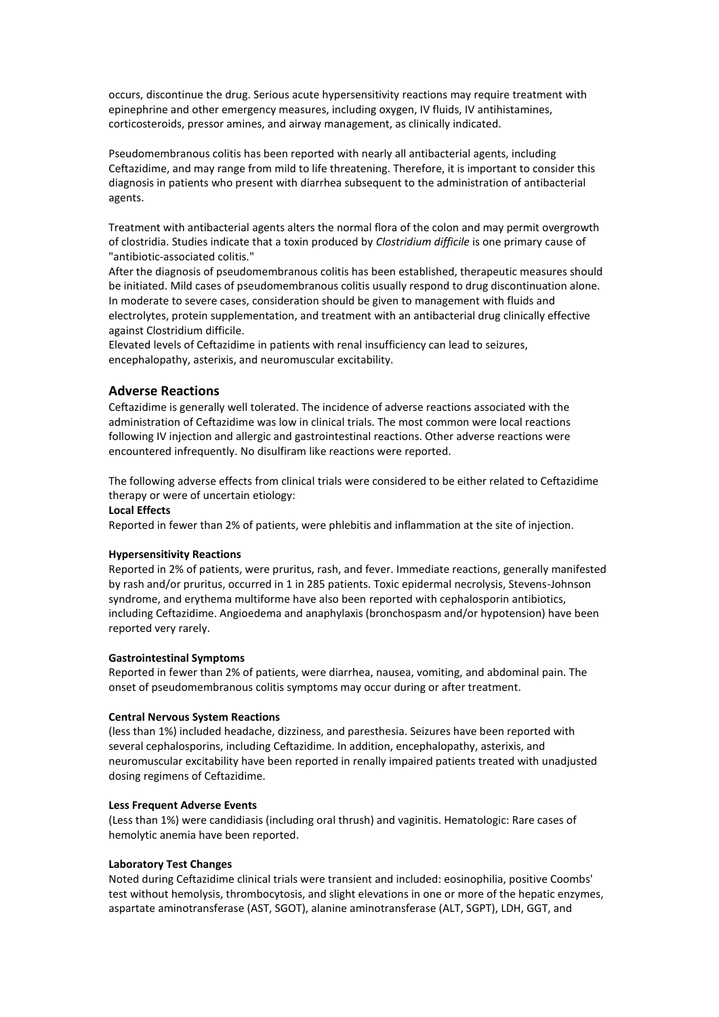occurs, discontinue the drug. Serious acute hypersensitivity reactions may require treatment with epinephrine and other emergency measures, including oxygen, IV fluids, IV antihistamines, corticosteroids, pressor amines, and airway management, as clinically indicated.

Pseudomembranous colitis has been reported with nearly all antibacterial agents, including Ceftazidime, and may range from mild to life threatening. Therefore, it is important to consider this diagnosis in patients who present with diarrhea subsequent to the administration of antibacterial agents.

Treatment with antibacterial agents alters the normal flora of the colon and may permit overgrowth of clostridia. Studies indicate that a toxin produced by *Clostridium difficile* is one primary cause of "antibiotic-associated colitis."

After the diagnosis of pseudomembranous colitis has been established, therapeutic measures should be initiated. Mild cases of pseudomembranous colitis usually respond to drug discontinuation alone. In moderate to severe cases, consideration should be given to management with fluids and electrolytes, protein supplementation, and treatment with an antibacterial drug clinically effective against Clostridium difficile.

Elevated levels of Ceftazidime in patients with renal insufficiency can lead to seizures, encephalopathy, asterixis, and neuromuscular excitability.

# **Adverse Reactions**

Ceftazidime is generally well tolerated. The incidence of adverse reactions associated with the administration of Ceftazidime was low in clinical trials. The most common were local reactions following IV injection and allergic and gastrointestinal reactions. Other adverse reactions were encountered infrequently. No disulfiram like reactions were reported.

The following adverse effects from clinical trials were considered to be either related to Ceftazidime therapy or were of uncertain etiology:

# **Local Effects**

Reported in fewer than 2% of patients, were phlebitis and inflammation at the site of injection.

# **Hypersensitivity Reactions**

Reported in 2% of patients, were pruritus, rash, and fever. Immediate reactions, generally manifested by rash and/or pruritus, occurred in 1 in 285 patients. Toxic epidermal necrolysis, Stevens-Johnson syndrome, and erythema multiforme have also been reported with cephalosporin antibiotics, including Ceftazidime. Angioedema and anaphylaxis (bronchospasm and/or hypotension) have been reported very rarely.

# **Gastrointestinal Symptoms**

Reported in fewer than 2% of patients, were diarrhea, nausea, vomiting, and abdominal pain. The onset of pseudomembranous colitis symptoms may occur during or after treatment.

### **Central Nervous System Reactions**

(less than 1%) included headache, dizziness, and paresthesia. Seizures have been reported with several cephalosporins, including Ceftazidime. In addition, encephalopathy, asterixis, and neuromuscular excitability have been reported in renally impaired patients treated with unadjusted dosing regimens of Ceftazidime.

### **Less Frequent Adverse Events**

(Less than 1%) were candidiasis (including oral thrush) and vaginitis. Hematologic: Rare cases of hemolytic anemia have been reported.

# **Laboratory Test Changes**

Noted during Ceftazidime clinical trials were transient and included: eosinophilia, positive Coombs' test without hemolysis, thrombocytosis, and slight elevations in one or more of the hepatic enzymes, aspartate aminotransferase (AST, SGOT), alanine aminotransferase (ALT, SGPT), LDH, GGT, and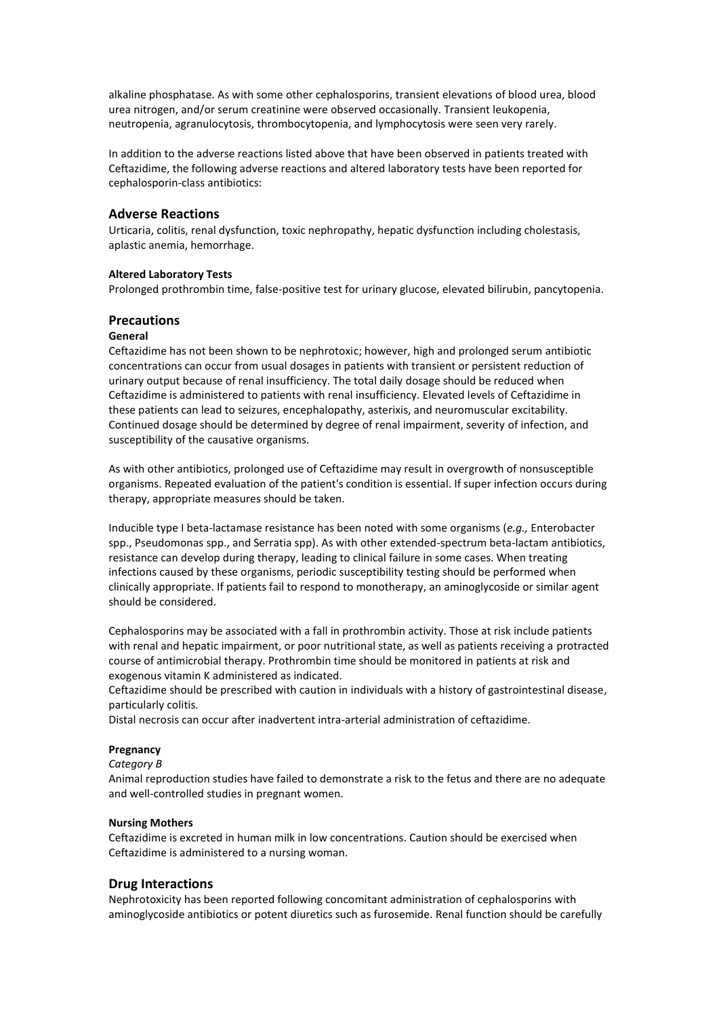alkaline phosphatase. As with some other cephalosporins, transient elevations of blood urea, blood urea nitrogen, and/or serum creatinine were observed occasionally. Transient leukopenia, neutropenia, agranulocytosis, thrombocytopenia, and lymphocytosis were seen very rarely.

In addition to the adverse reactions listed above that have been observed in patients treated with Ceftazidime, the following adverse reactions and altered laboratory tests have been reported for cephalosporin-class antibiotics:

# **Adverse Reactions**

Urticaria, colitis, renal dysfunction, toxic nephropathy, hepatic dysfunction including cholestasis, aplastic anemia, hemorrhage.

### **Altered Laboratory Tests**

Prolonged prothrombin time, false-positive test for urinary glucose, elevated bilirubin, pancytopenia.

# **Precautions**

### **General**

Ceftazidime has not been shown to be nephrotoxic; however, high and prolonged serum antibiotic concentrations can occur from usual dosages in patients with transient or persistent reduction of urinary output because of renal insufficiency. The total daily dosage should be reduced when Ceftazidime is administered to patients with renal insufficiency. Elevated levels of Ceftazidime in these patients can lead to seizures, encephalopathy, asterixis, and neuromuscular excitability. Continued dosage should be determined by degree of renal impairment, severity of infection, and susceptibility of the causative organisms.

As with other antibiotics, prolonged use of Ceftazidime may result in overgrowth of nonsusceptible organisms. Repeated evaluation of the patient's condition is essential. If super infection occurs during therapy, appropriate measures should be taken.

Inducible type I beta-lactamase resistance has been noted with some organisms (*e.g.,* Enterobacter spp., Pseudomonas spp., and Serratia spp). As with other extended-spectrum beta-lactam antibiotics, resistance can develop during therapy, leading to clinical failure in some cases. When treating infections caused by these organisms, periodic susceptibility testing should be performed when clinically appropriate. If patients fail to respond to monotherapy, an aminoglycoside or similar agent should be considered.

Cephalosporins may be associated with a fall in prothrombin activity. Those at risk include patients with renal and hepatic impairment, or poor nutritional state, as well as patients receiving a protracted course of antimicrobial therapy. Prothrombin time should be monitored in patients at risk and exogenous vitamin K administered as indicated.

Ceftazidime should be prescribed with caution in individuals with a history of gastrointestinal disease, particularly colitis.

Distal necrosis can occur after inadvertent intra-arterial administration of ceftazidime.

## **Pregnancy**

### *Category B*

Animal reproduction studies have failed to demonstrate a risk to the fetus and there are no adequate and well-controlled studies in pregnant women.

### **Nursing Mothers**

Ceftazidime is excreted in human milk in low concentrations. Caution should be exercised when Ceftazidime is administered to a nursing woman.

# **Drug Interactions**

Nephrotoxicity has been reported following concomitant administration of cephalosporins with aminoglycoside antibiotics or potent diuretics such as furosemide. Renal function should be carefully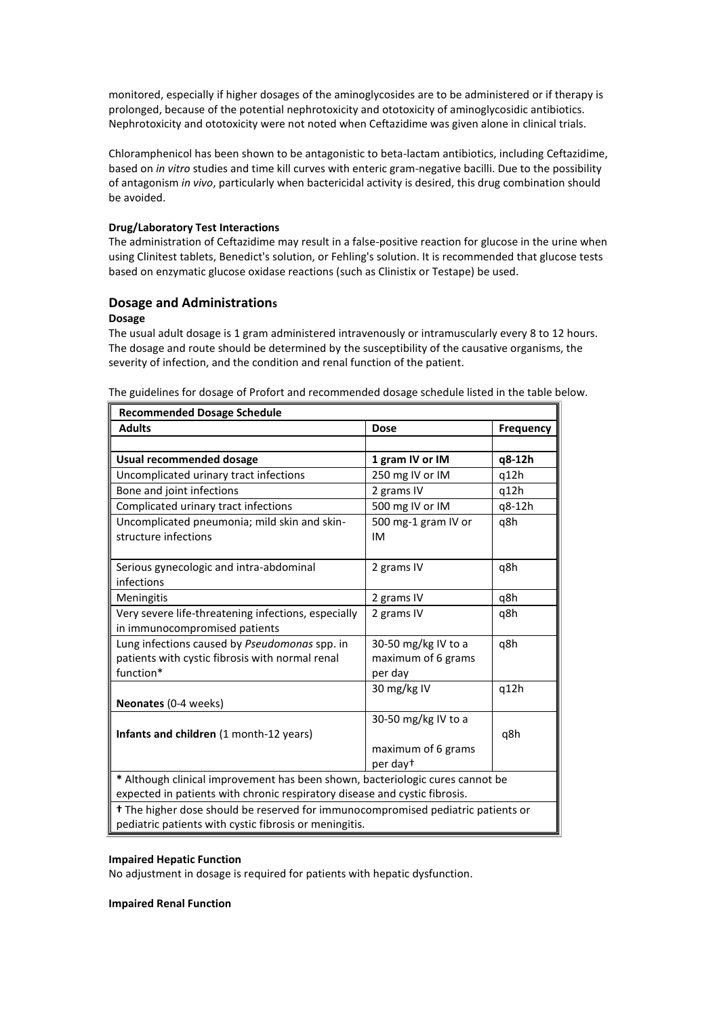monitored, especially if higher dosages of the aminoglycosides are to be administered or if therapy is prolonged, because of the potential nephrotoxicity and ototoxicity of aminoglycosidic antibiotics. Nephrotoxicity and ototoxicity were not noted when Ceftazidime was given alone in clinical trials.

Chloramphenicol has been shown to be antagonistic to beta-lactam antibiotics, including Ceftazidime, based on *in vitro* studies and time kill curves with enteric gram-negative bacilli. Due to the possibility of antagonism *in vivo*, particularly when bactericidal activity is desired, this drug combination should be avoided.

# **Drug/Laboratory Test Interactions**

The administration of Ceftazidime may result in a false-positive reaction for glucose in the urine when using Clinitest tablets, Benedict's solution, or Fehling's solution. It is recommended that glucose tests based on enzymatic glucose oxidase reactions (such as Clinistix or Testape) be used.

# **Dosage and Administrations**

# **Dosage**

The usual adult dosage is 1 gram administered intravenously or intramuscularly every 8 to 12 hours. The dosage and route should be determined by the susceptibility of the causative organisms, the severity of infection, and the condition and renal function of the patient.

| <b>Recommended Dosage Schedule</b>                                                                                                                          |                                                                   |           |  |
|-------------------------------------------------------------------------------------------------------------------------------------------------------------|-------------------------------------------------------------------|-----------|--|
| <b>Adults</b>                                                                                                                                               | <b>Dose</b>                                                       | Frequency |  |
|                                                                                                                                                             |                                                                   |           |  |
| <b>Usual recommended dosage</b>                                                                                                                             | 1 gram IV or IM                                                   | q8-12h    |  |
| Uncomplicated urinary tract infections                                                                                                                      | 250 mg IV or IM                                                   | q12h      |  |
| Bone and joint infections                                                                                                                                   | 2 grams IV                                                        | q12h      |  |
| Complicated urinary tract infections                                                                                                                        | 500 mg IV or IM                                                   | q8-12h    |  |
| Uncomplicated pneumonia; mild skin and skin-<br>structure infections                                                                                        | 500 mg-1 gram IV or<br>IM                                         | q8h       |  |
| Serious gynecologic and intra-abdominal<br>infections                                                                                                       | 2 grams IV                                                        | q8h       |  |
| Meningitis                                                                                                                                                  | 2 grams IV                                                        | q8h       |  |
| Very severe life-threatening infections, especially<br>in immunocompromised patients                                                                        | 2 grams IV                                                        | q8h       |  |
| Lung infections caused by Pseudomonas spp. in<br>patients with cystic fibrosis with normal renal<br>function*                                               | 30-50 mg/kg IV to a<br>maximum of 6 grams<br>per day              | q8h       |  |
| Neonates (0-4 weeks)                                                                                                                                        | 30 mg/kg IV                                                       | q12h      |  |
| Infants and children (1 month-12 years)                                                                                                                     | 30-50 mg/kg IV to a<br>maximum of 6 grams<br>per day <sup>+</sup> | q8h       |  |
| * Although clinical improvement has been shown, bacteriologic cures cannot be<br>expected in patients with chronic respiratory disease and cystic fibrosis. |                                                                   |           |  |
| t The higher dose should be reserved for immunocompromised pediatric patients or<br>pediatric patients with cystic fibrosis or meningitis.                  |                                                                   |           |  |

The guidelines for dosage of Profort and recommended dosage schedule listed in the table below.

### **Impaired Hepatic Function**

No adjustment in dosage is required for patients with hepatic dysfunction.

### **Impaired Renal Function**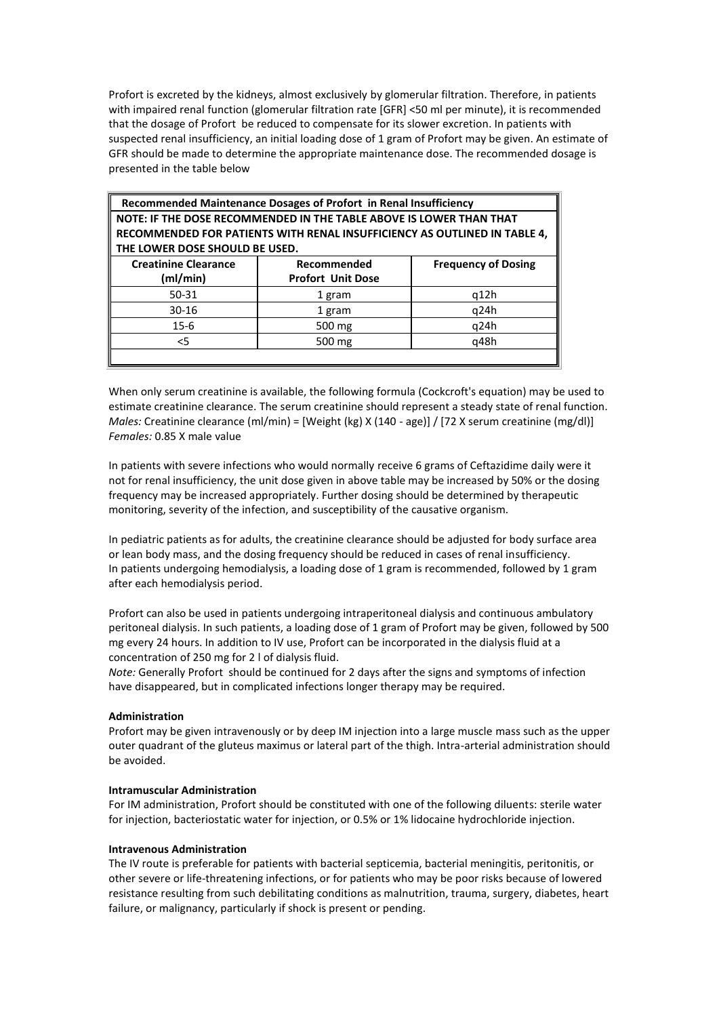Profort is excreted by the kidneys, almost exclusively by glomerular filtration. Therefore, in patients with impaired renal function (glomerular filtration rate [GFR] <50 ml per minute), it is recommended that the dosage of Profort be reduced to compensate for its slower excretion. In patients with suspected renal insufficiency, an initial loading dose of 1 gram of Profort may be given. An estimate of GFR should be made to determine the appropriate maintenance dose. The recommended dosage is presented in the table below

 **Recommended Maintenance Dosages of Profort in Renal Insufficiency NOTE: IF THE DOSE RECOMMENDED IN THE TABLE ABOVE IS LOWER THAN THAT RECOMMENDED FOR PATIENTS WITH RENAL INSUFFICIENCY AS OUTLINED IN TABLE 4, THE LOWER DOSE SHOULD BE USED.**

| <b>Creatinine Clearance</b><br>(ml/min) | Recommended<br><b>Profort Unit Dose</b> | <b>Frequency of Dosing</b> |
|-----------------------------------------|-----------------------------------------|----------------------------|
| 50-31                                   | 1 gram                                  | a12h                       |
| $30 - 16$                               | 1 gram                                  | a24h                       |
| $15-6$                                  | 500 mg                                  | a24h                       |
| <5                                      | 500 mg                                  | q48h                       |
|                                         |                                         |                            |

When only serum creatinine is available, the following formula (Cockcroft's equation) may be used to estimate creatinine clearance. The serum creatinine should represent a steady state of renal function. *Males:* Creatinine clearance (ml/min) = [Weight (kg) X (140 - age)] / [72 X serum creatinine (mg/dl)] *Females:* 0.85 X male value

In patients with severe infections who would normally receive 6 grams of Ceftazidime daily were it not for renal insufficiency, the unit dose given in above table may be increased by 50% or the dosing frequency may be increased appropriately. Further dosing should be determined by therapeutic monitoring, severity of the infection, and susceptibility of the causative organism.

In pediatric patients as for adults, the creatinine clearance should be adjusted for body surface area or lean body mass, and the dosing frequency should be reduced in cases of renal insufficiency. In patients undergoing hemodialysis, a loading dose of 1 gram is recommended, followed by 1 gram after each hemodialysis period.

Profort can also be used in patients undergoing intraperitoneal dialysis and continuous ambulatory peritoneal dialysis. In such patients, a loading dose of 1 gram of Profort may be given, followed by 500 mg every 24 hours. In addition to IV use, Profort can be incorporated in the dialysis fluid at a concentration of 250 mg for 2 l of dialysis fluid.

*Note:* Generally Profort should be continued for 2 days after the signs and symptoms of infection have disappeared, but in complicated infections longer therapy may be required.

# **Administration**

Profort may be given intravenously or by deep IM injection into a large muscle mass such as the upper outer quadrant of the gluteus maximus or lateral part of the thigh. Intra-arterial administration should be avoided.

### **Intramuscular Administration**

For IM administration, Profort should be constituted with one of the following diluents: sterile water for injection, bacteriostatic water for injection, or 0.5% or 1% lidocaine hydrochloride injection.

### **Intravenous Administration**

The IV route is preferable for patients with bacterial septicemia, bacterial meningitis, peritonitis, or other severe or life-threatening infections, or for patients who may be poor risks because of lowered resistance resulting from such debilitating conditions as malnutrition, trauma, surgery, diabetes, heart failure, or malignancy, particularly if shock is present or pending.